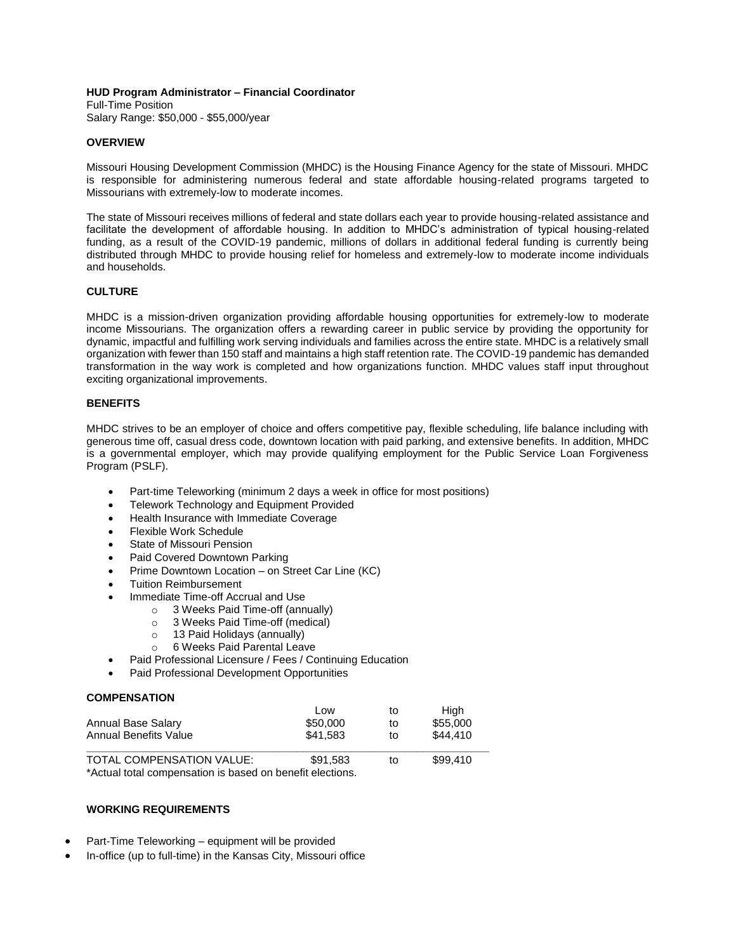### **HUD Program Administrator – Financial Coordinator**

Full-Time Position Salary Range: \$50,000 - \$55,000/year

### **OVERVIEW**

Missouri Housing Development Commission (MHDC) is the Housing Finance Agency for the state of Missouri. MHDC is responsible for administering numerous federal and state affordable housing-related programs targeted to Missourians with extremely-low to moderate incomes.

The state of Missouri receives millions of federal and state dollars each year to provide housing-related assistance and facilitate the development of affordable housing. In addition to MHDC's administration of typical housing-related funding, as a result of the COVID-19 pandemic, millions of dollars in additional federal funding is currently being distributed through MHDC to provide housing relief for homeless and extremely-low to moderate income individuals and households.

## **CULTURE**

MHDC is a mission-driven organization providing affordable housing opportunities for extremely-low to moderate income Missourians. The organization offers a rewarding career in public service by providing the opportunity for dynamic, impactful and fulfilling work serving individuals and families across the entire state. MHDC is a relatively small organization with fewer than 150 staff and maintains a high staff retention rate. The COVID-19 pandemic has demanded transformation in the way work is completed and how organizations function. MHDC values staff input throughout exciting organizational improvements.

## **BENEFITS**

MHDC strives to be an employer of choice and offers competitive pay, flexible scheduling, life balance including with generous time off, casual dress code, downtown location with paid parking, and extensive benefits. In addition, MHDC is a governmental employer, which may provide qualifying employment for the Public Service Loan Forgiveness Program (PSLF).

- Part-time Teleworking (minimum 2 days a week in office for most positions)
- Telework Technology and Equipment Provided
- Health Insurance with Immediate Coverage
- Flexible Work Schedule
- State of Missouri Pension
- Paid Covered Downtown Parking
- Prime Downtown Location on Street Car Line (KC)
- **•** Tuition Reimbursement
- Immediate Time-off Accrual and Use
	- o 3 Weeks Paid Time-off (annually)
	- o 3 Weeks Paid Time-off (medical)
	- o 13 Paid Holidays (annually)
	- o 6 Weeks Paid Parental Leave
- Paid Professional Licensure / Fees / Continuing Education
- Paid Professional Development Opportunities

## **COMPENSATION**

|                       | LOW      | tΟ | Hiah     |
|-----------------------|----------|----|----------|
| Annual Base Salary    | \$50,000 | to | \$55,000 |
| Annual Benefits Value | \$41.583 | to | \$44,410 |
|                       |          |    |          |

TOTAL COMPENSATION VALUE: \$91,583 to \$99.410 \*Actual total compensation is based on benefit elections.

**WORKING REQUIREMENTS**

- Part-Time Teleworking equipment will be provided
- In-office (up to full-time) in the Kansas City, Missouri office